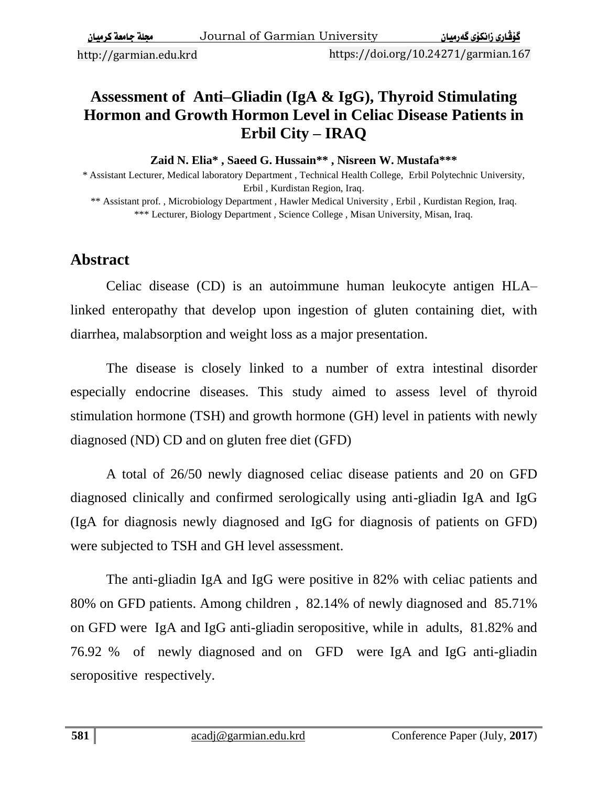http://garmian.edu.krd https://doi.org/10.24271/garmian.167

### **Assessment of Anti–Gliadin (IgA & IgG), Thyroid Stimulating Hormon and Growth Hormon Level in Celiac Disease Patients in Erbil City – IRAQ**

**Zaid N. Elia\* , Saeed G. Hussain\*\* , Nisreen W. Mustafa\*\*\***

\* Assistant Lecturer, Medical laboratory Department , Technical Health College, Erbil Polytechnic University, Erbil , Kurdistan Region, Iraq.

\*\* Assistant prof. , Microbiology Department , Hawler Medical University , Erbil , Kurdistan Region, Iraq. \*\*\* Lecturer, Biology Department, Science College, Misan University, Misan, Iraq.

#### **Abstract**

Celiac disease (CD) is an autoimmune human leukocyte antigen HLA– linked enteropathy that develop upon ingestion of gluten containing diet, with diarrhea, malabsorption and weight loss as a major presentation.

The disease is closely linked to a number of extra intestinal disorder especially endocrine diseases. This study aimed to assess level of thyroid stimulation hormone (TSH) and growth hormone (GH) level in patients with newly diagnosed (ND) CD and on gluten free diet (GFD)

A total of 26/50 newly diagnosed celiac disease patients and 20 on GFD diagnosed clinically and confirmed serologically using anti-gliadin IgA and IgG (IgA for diagnosis newly diagnosed and IgG for diagnosis of patients on GFD) were subjected to TSH and GH level assessment.

The anti-gliadin IgA and IgG were positive in 82% with celiac patients and 80% on GFD patients. Among children , 82.14% of newly diagnosed and 85.71% on GFD were IgA and IgG anti-gliadin seropositive, while in adults, 81.82% and 76.92 % of newly diagnosed and on GFD were IgA and IgG anti-gliadin seropositive respectively.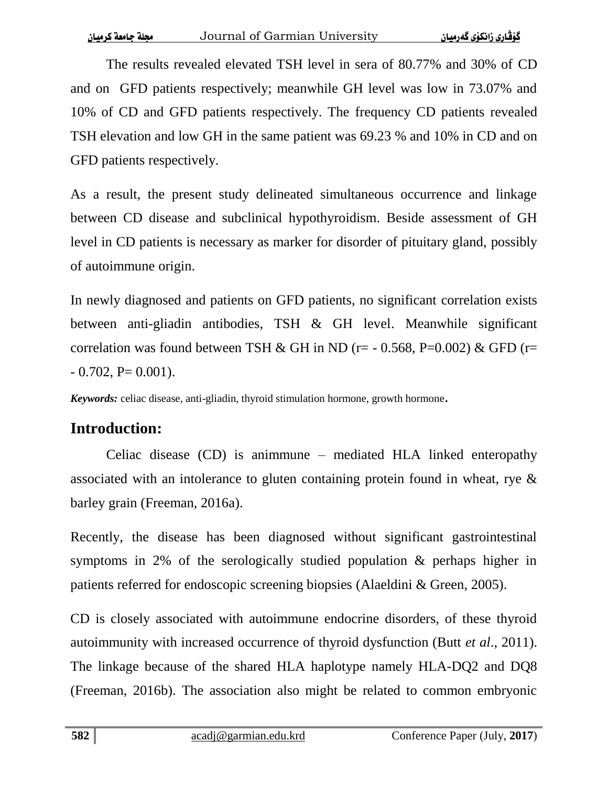The results revealed elevated TSH level in sera of 80.77% and 30% of CD and on GFD patients respectively; meanwhile GH level was low in 73.07% and 10% of CD and GFD patients respectively. The frequency CD patients revealed TSH elevation and low GH in the same patient was 69.23 % and 10% in CD and on GFD patients respectively.

As a result, the present study delineated simultaneous occurrence and linkage between CD disease and subclinical hypothyroidism. Beside assessment of GH level in CD patients is necessary as marker for disorder of pituitary gland, possibly of autoimmune origin.

In newly diagnosed and patients on GFD patients, no significant correlation exists between anti-gliadin antibodies, TSH & GH level. Meanwhile significant correlation was found between TSH & GH in ND ( $r = -0.568$ , P=0.002) & GFD ( $r =$  $-0.702$ , P= 0.001).

*Keywords:* celiac disease, anti-gliadin, thyroid stimulation hormone, growth hormone.

# **Introduction:**

Celiac disease (CD) is animmune – mediated HLA linked enteropathy associated with an intolerance to gluten containing protein found in wheat, rye & barley grain (Freeman, 2016a).

Recently, the disease has been diagnosed without significant gastrointestinal symptoms in 2% of the serologically studied population & perhaps higher in patients referred for endoscopic screening biopsies (Alaeldini & Green, 2005).

CD is closely associated with autoimmune endocrine disorders, of these thyroid autoimmunity with increased occurrence of thyroid dysfunction (Butt *et al*., 2011). The linkage because of the shared HLA haplotype namely HLA-DQ2 and DQ8 (Freeman, 2016b). The association also might be related to common embryonic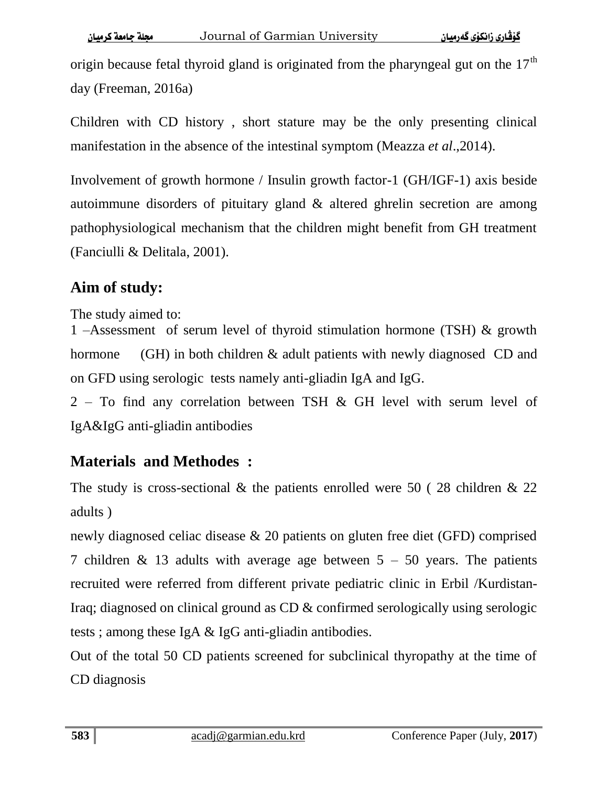origin because fetal thyroid gland is originated from the pharyngeal gut on the  $17<sup>th</sup>$ day (Freeman, 2016a)

Children with CD history , short stature may be the only presenting clinical manifestation in the absence of the intestinal symptom (Meazza *et al*.,2014).

Involvement of growth hormone / Insulin growth factor-1 (GH/IGF-1) axis beside autoimmune disorders of pituitary gland & altered ghrelin secretion are among pathophysiological mechanism that the children might benefit from GH treatment (Fanciulli & Delitala, 2001).

## **Aim of study:**

The study aimed to:

1 –Assessment of serum level of thyroid stimulation hormone (TSH) & growth hormone (GH) in both children & adult patients with newly diagnosed CD and on GFD using serologic tests namely anti-gliadin IgA and IgG.

2 – To find any correlation between TSH & GH level with serum level of IgA&IgG anti-gliadin antibodies

### **Materials and Methodes :**

The study is cross-sectional  $\&$  the patients enrolled were 50 (28 children  $\&$  22 adults )

newly diagnosed celiac disease & 20 patients on gluten free diet (GFD) comprised 7 children & 13 adults with average age between  $5 - 50$  years. The patients recruited were referred from different private pediatric clinic in Erbil /Kurdistan-Iraq; diagnosed on clinical ground as CD & confirmed serologically using serologic tests ; among these IgA & IgG anti-gliadin antibodies.

Out of the total 50 CD patients screened for subclinical thyropathy at the time of CD diagnosis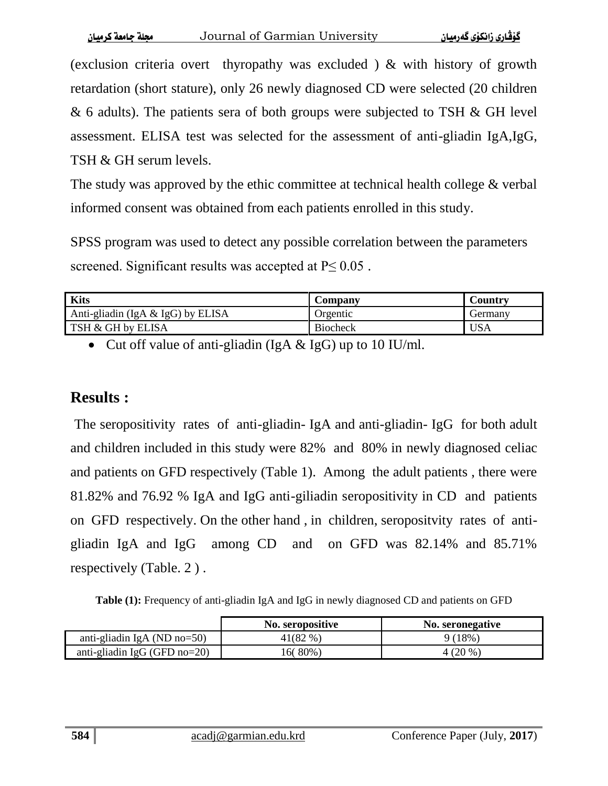(exclusion criteria overt thyropathy was excluded ) & with history of growth retardation (short stature), only 26 newly diagnosed CD were selected (20 children & 6 adults). The patients sera of both groups were subjected to TSH & GH level assessment. ELISA test was selected for the assessment of anti-gliadin IgA,IgG, TSH & GH serum levels.

The study was approved by the ethic committee at technical health college & verbal informed consent was obtained from each patients enrolled in this study.

SPSS program was used to detect any possible correlation between the parameters screened. Significant results was accepted at  $P \leq 0.05$ .

| <b>Kits</b>                          | Company         | Country |
|--------------------------------------|-----------------|---------|
| Anti-gliadin (IgA $\&$ IgG) by ELISA | Orgentic        | Germanv |
| TSH & GH by ELISA                    | <b>Biocheck</b> | USA     |

• Cut off value of anti-gliadin (IgA  $&$  IgG) up to 10 IU/ml.

### **Results :**

The seropositivity rates of anti-gliadin- IgA and anti-gliadin- IgG for both adult and children included in this study were 82% and 80% in newly diagnosed celiac and patients on GFD respectively (Table 1). Among the adult patients , there were 81.82% and 76.92 % IgA and IgG anti-giliadin seropositivity in CD and patients on GFD respectively. On the other hand , in children, seropositvity rates of antigliadin IgA and IgG among CD and on GFD was 82.14% and 85.71% respectively (Table. 2 ) .

**Table (1):** Frequency of anti-gliadin IgA and IgG in newly diagnosed CD and patients on GFD

|                                 | <b>No.</b> seropositive | <b>No. seronegative</b> |
|---------------------------------|-------------------------|-------------------------|
| anti-gliadin IgA (ND $no=50$ )  | 41(82 %)                | $9(18\%$                |
| anti-gliadin IgG (GFD $no=20$ ) | 16(80%)                 | 4 (20 %)                |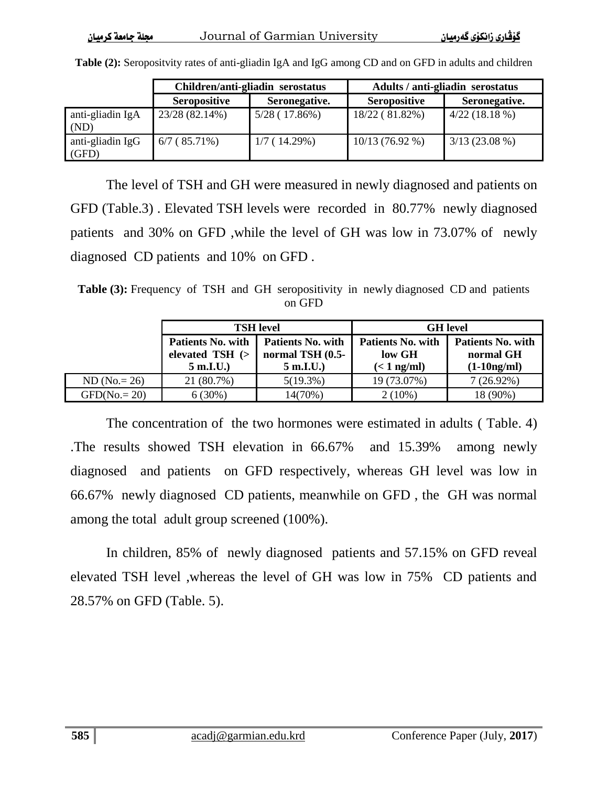|  | محلة حامعة ك ميان |  |  |
|--|-------------------|--|--|
|--|-------------------|--|--|

|                           | Children/anti-gliadin serostatus |               | Adults / anti-gliadin serostatus |                 |
|---------------------------|----------------------------------|---------------|----------------------------------|-----------------|
|                           | <b>Seropositive</b>              | Seronegative. | <b>Seropositive</b>              | Seronegative.   |
| anti-gliadin IgA<br>(ND)  | 23/28 (82.14%)                   | 5/28(17.86%)  | 18/22 (81.82%)                   | 4/22(18.18%)    |
| anti-gliadin IgG<br>(GFD) | $6/7(85.71\%)$                   | 1/7(14.29%)   | $10/13(76.92\%)$                 | $3/13(23.08\%)$ |

**Table (2):** Seropositvity rates of anti-gliadin IgA and IgG among CD and on GFD in adults and children

The level of TSH and GH were measured in newly diagnosed and patients on GFD (Table.3) . Elevated TSH levels were recorded in 80.77% newly diagnosed patients and 30% on GFD ,while the level of GH was low in 73.07% of newly diagnosed CD patients and 10% on GFD .

**Table (3):** Frequency of TSH and GH seropositivity in newly diagnosed CD and patients on GFD

|                 | <b>TSH</b> level                                              |                                                            | <b>GH</b> level                                     |                                                        |
|-----------------|---------------------------------------------------------------|------------------------------------------------------------|-----------------------------------------------------|--------------------------------------------------------|
|                 | <b>Patients No. with</b><br>elevated $TSH$ $(>$<br>$5$ m.I.U. | <b>Patients No. with</b><br>normal TSH (0.5-<br>$5$ m.I.U. | <b>Patients No. with</b><br>low GH<br>$(< 1$ ng/ml) | <b>Patients No. with</b><br>normal GH<br>$(1-10ng/ml)$ |
| $ND (No. = 26)$ | 21 (80.7%)                                                    | $5(19.3\%)$                                                | 19 (73.07%)                                         | $7(26.92\%)$                                           |
| $GFD(No = 20)$  | 6(30%)                                                        | 14(70%)                                                    | $2(10\%)$                                           | 18 (90%)                                               |

The concentration of the two hormones were estimated in adults ( Table. 4) .The results showed TSH elevation in 66.67% and 15.39% among newly diagnosed and patients on GFD respectively, whereas GH level was low in 66.67% newly diagnosed CD patients, meanwhile on GFD , the GH was normal among the total adult group screened (100%).

In children, 85% of newly diagnosed patients and 57.15% on GFD reveal elevated TSH level ,whereas the level of GH was low in 75% CD patients and 28.57% on GFD (Table. 5).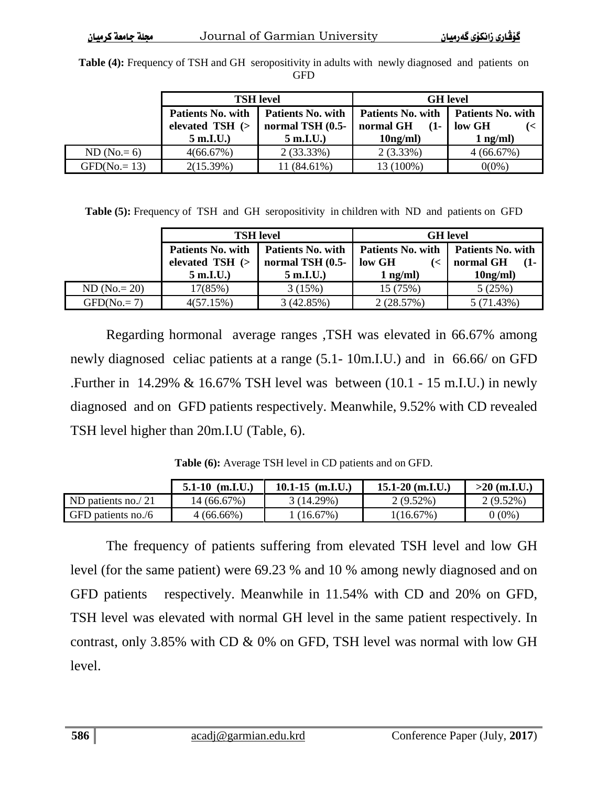**Table (4):** Frequency of TSH and GH seropositivity in adults with newly diagnosed and patients on GFD

|               | <b>TSH</b> level                               |                                              | <b>GH</b> level                          |                                    |  |
|---------------|------------------------------------------------|----------------------------------------------|------------------------------------------|------------------------------------|--|
|               | <b>Patients No. with</b><br>elevated $TSH$ $($ | <b>Patients No. with</b><br>normal TSH (0.5- | Patients No. with<br>normal GH<br>$(1 -$ | <b>Patients No. with</b><br>low GH |  |
|               | $5$ m.I.U.                                     | $5$ m.I.U.                                   | 10 <sub>ng</sub> /ml                     | $1$ ng/ml)                         |  |
| $ND (No.= 6)$ | 4(66.67%)                                      | $2(33.33\%)$                                 | $2(3.33\%)$                              | 4(66.67%)                          |  |
| $GFD(No=13)$  | 2(15.39%)                                      | 11 (84.61%)                                  | 13 (100%)                                | $0(0\%)$                           |  |

**Table (5):** Frequency of TSH and GH seropositivity in children with ND and patients on GFD

|                | <b>TSH</b> level                                     |                  | <b>GH</b> level          |                          |
|----------------|------------------------------------------------------|------------------|--------------------------|--------------------------|
|                | <b>Patients No. with</b><br><b>Patients No. with</b> |                  | <b>Patients No. with</b> | <b>Patients No. with</b> |
|                | elevated TSH (>                                      | normal TSH (0.5- | low GH                   | normal GH<br>$(1-$       |
|                | $5$ m.I.U.                                           | $5$ m.I.U.       | $1$ ng/ml)               | 10 <sub>ng</sub> /ml     |
| $ND (No.= 20)$ | 17(85%)                                              | 3(15%)           | 15(75%)                  | 5(25%)                   |
| $GFD(No.=7)$   | 4(57.15%)                                            | 3(42.85%)        | 2(28.57%)                | 5(71.43%)                |

Regarding hormonal average ranges ,TSH was elevated in 66.67% among newly diagnosed celiac patients at a range (5.1- 10m.I.U.) and in 66.66/ on GFD .Further in 14.29% & 16.67% TSH level was between (10.1 - 15 m.I.U.) in newly diagnosed and on GFD patients respectively. Meanwhile, 9.52% with CD revealed TSH level higher than 20m.I.U (Table, 6).

|                    | $5.1 - 10$ (m.I.U.) | $10.1 - 15$ (m.I.U.) | $15.1 - 20$ (m.I.U.) | $>20$ (m.I.U.) |
|--------------------|---------------------|----------------------|----------------------|----------------|
| ND patients no./21 | 14 (66.67%)         | 3(14.29%)            | $2(9.52\%)$          | $2(9.52\%)$    |
| GFD patients no./6 | $4(66.66\%)$        | $(16.67\%)$          | 1(16.67%)            | $(0\%)$        |

**Table (6):** Average TSH level in CD patients and on GFD.

The frequency of patients suffering from elevated TSH level and low GH level (for the same patient) were 69.23 % and 10 % among newly diagnosed and on GFD patients respectively. Meanwhile in 11.54% with CD and 20% on GFD, TSH level was elevated with normal GH level in the same patient respectively. In contrast, only 3.85% with CD & 0% on GFD, TSH level was normal with low GH level.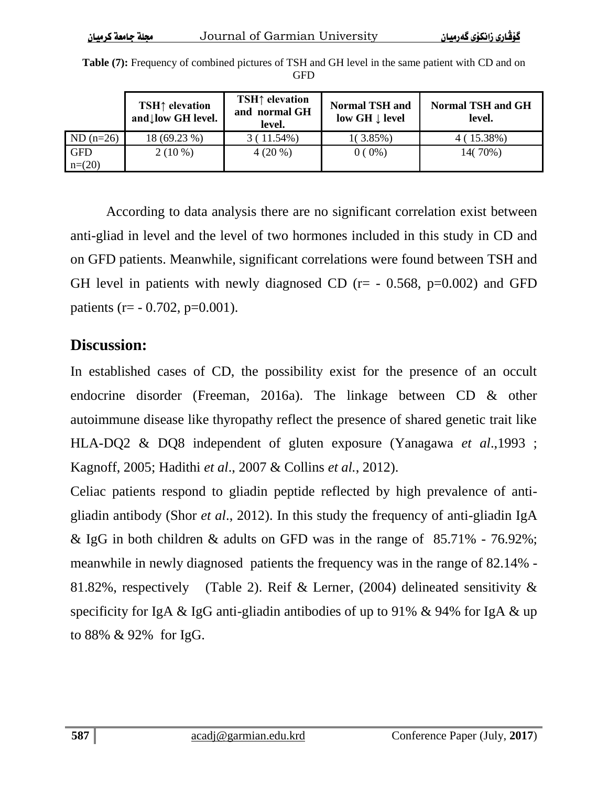| $\alpha$ and $\alpha$ and $\alpha$ and $\alpha$ and $\alpha$ | ovuma or udminim omvor |  |
|--------------------------------------------------------------|------------------------|--|
|                                                              |                        |  |
|                                                              |                        |  |
|                                                              |                        |  |

|                        | <b>TSH↑</b> elevation<br>and low GH level. | <b>TSH↑</b> elevation<br>and normal GH<br>level. | <b>Normal TSH and</b><br>low GH $\downarrow$ level | <b>Normal TSH and GH</b><br>level. |
|------------------------|--------------------------------------------|--------------------------------------------------|----------------------------------------------------|------------------------------------|
| $ND (n=26)$            | 18 (69.23 %)                               | $3(11.54\%)$                                     | $1(3.85\%)$                                        | $4(15.38\%)$                       |
| <b>GFD</b><br>$n=(20)$ | $2(10\%)$                                  | $4(20\%)$                                        | $0(0\%)$                                           | 14(70%)                            |

**Table (7):** Frequency of combined pictures of TSH and GH level in the same patient with CD and on GFD

According to data analysis there are no significant correlation exist between anti-gliad in level and the level of two hormones included in this study in CD and on GFD patients. Meanwhile, significant correlations were found between TSH and GH level in patients with newly diagnosed CD ( $r = -0.568$ ,  $p=0.002$ ) and GFD patients (r=  $-0.702$ , p=0.001).

#### **Discussion:**

In established cases of CD, the possibility exist for the presence of an occult endocrine disorder (Freeman, 2016a). The linkage between CD & other autoimmune disease like thyropathy reflect the presence of shared genetic trait like HLA-DQ2 & DQ8 independent of gluten exposure (Yanagawa *et al*.,1993 ; Kagnoff, 2005; Hadithi *et al*., 2007 & Collins *et al.*, 2012).

Celiac patients respond to gliadin peptide reflected by high prevalence of antigliadin antibody (Shor *et al*., 2012). In this study the frequency of anti-gliadin IgA & IgG in both children & adults on GFD was in the range of 85.71% - 76.92%; meanwhile in newly diagnosed patients the frequency was in the range of 82.14% - 81.82%, respectively (Table 2). Reif & Lerner, (2004) delineated sensitivity & specificity for IgA & IgG anti-gliadin antibodies of up to 91% & 94% for IgA & up to 88% & 92% for IgG.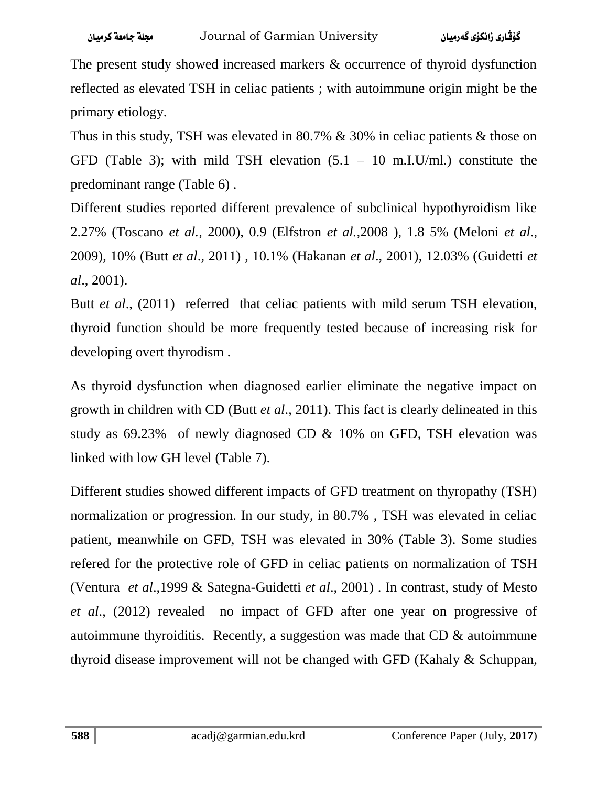The present study showed increased markers & occurrence of thyroid dysfunction reflected as elevated TSH in celiac patients ; with autoimmune origin might be the primary etiology.

Thus in this study, TSH was elevated in 80.7% & 30% in celiac patients & those on GFD (Table 3); with mild TSH elevation  $(5.1 - 10 \text{ m.L. U/ml.})$  constitute the predominant range (Table 6) .

Different studies reported different prevalence of subclinical hypothyroidism like 2.27% (Toscano *et al.,* 2000), 0.9 (Elfstron *et al.,*2008 ), 1.8 5% (Meloni *et al*., 2009), 10% (Butt *et al*., 2011) , 10.1% (Hakanan *et al*., 2001), 12.03% (Guidetti *et al*., 2001).

Butt *et al*., (2011) referred that celiac patients with mild serum TSH elevation, thyroid function should be more frequently tested because of increasing risk for developing overt thyrodism .

As thyroid dysfunction when diagnosed earlier eliminate the negative impact on growth in children with CD (Butt *et al*., 2011). This fact is clearly delineated in this study as 69.23% of newly diagnosed CD & 10% on GFD, TSH elevation was linked with low GH level (Table 7).

Different studies showed different impacts of GFD treatment on thyropathy (TSH) normalization or progression. In our study, in 80.7% , TSH was elevated in celiac patient, meanwhile on GFD, TSH was elevated in 30% (Table 3). Some studies refered for the protective role of GFD in celiac patients on normalization of TSH (Ventura *et al*.,1999 & Sategna-Guidetti *et al*., 2001) . In contrast, study of Mesto *et al*., (2012) revealed no impact of GFD after one year on progressive of autoimmune thyroiditis. Recently, a suggestion was made that CD & autoimmune thyroid disease improvement will not be changed with GFD (Kahaly & Schuppan,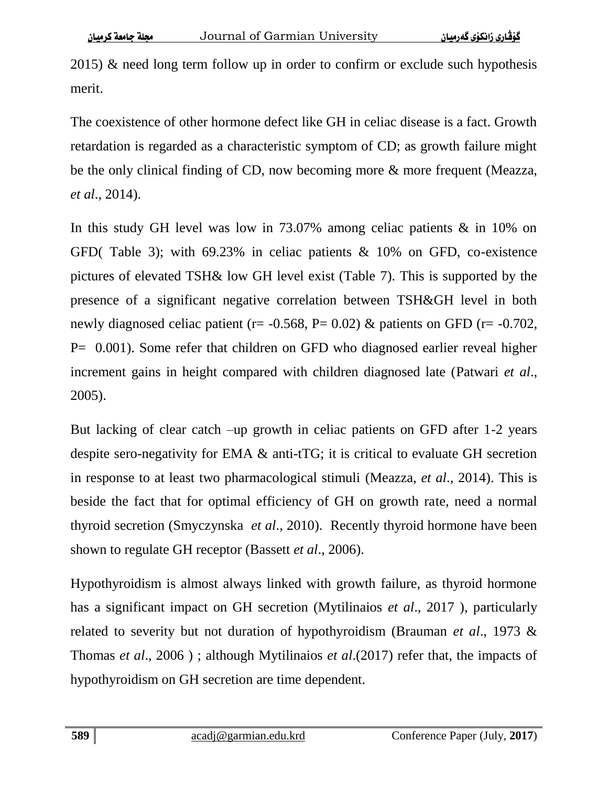2015)  $\&$  need long term follow up in order to confirm or exclude such hypothesis merit.

The coexistence of other hormone defect like GH in celiac disease is a fact. Growth retardation is regarded as a characteristic symptom of CD; as growth failure might be the only clinical finding of CD, now becoming more & more frequent (Meazza, *et al*., 2014).

In this study GH level was low in 73.07% among celiac patients & in 10% on GFD( Table 3); with 69.23% in celiac patients & 10% on GFD, co-existence pictures of elevated TSH& low GH level exist (Table 7). This is supported by the presence of a significant negative correlation between TSH&GH level in both newly diagnosed celiac patient ( $r = -0.568$ ,  $P = 0.02$ ) & patients on GFD ( $r = -0.702$ , P= 0.001). Some refer that children on GFD who diagnosed earlier reveal higher increment gains in height compared with children diagnosed late (Patwari *et al*., 2005).

But lacking of clear catch –up growth in celiac patients on GFD after 1-2 years despite sero-negativity for EMA & anti-tTG; it is critical to evaluate GH secretion in response to at least two pharmacological stimuli (Meazza, *et al*., 2014). This is beside the fact that for optimal efficiency of GH on growth rate, need a normal thyroid secretion (Smyczynska *et al*., 2010). Recently thyroid hormone have been shown to regulate GH receptor (Bassett *et al*., 2006).

Hypothyroidism is almost always linked with growth failure, as thyroid hormone has a significant impact on GH secretion (Mytilinaios *et al*., 2017 ), particularly related to severity but not duration of hypothyroidism (Brauman *et al*., 1973 & Thomas *et al*., 2006 ) ; although Mytilinaios *et al*.(2017) refer that, the impacts of hypothyroidism on GH secretion are time dependent.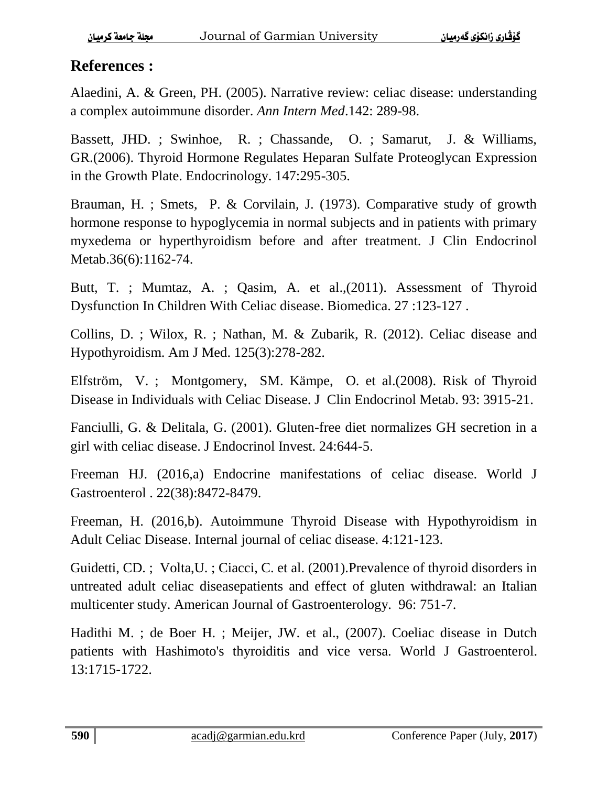#### **References :**

Alaedini, A. & Green, PH. (2005). Narrative review: celiac disease: understanding a complex autoimmune disorder. *Ann Intern Med*.142: 289-98.

Bassett, JHD. ; Swinhoe, R. ; Chassande, O. ; Samarut, J. & Williams, GR.(2006). Thyroid Hormone Regulates Heparan Sulfate Proteoglycan Expression in the Growth Plate. Endocrinology. 147:295-305.

Brauman, H. ; Smets, P. & Corvilain, J. (1973). Comparative study of growth hormone response to hypoglycemia in normal subjects and in patients with primary myxedema or hyperthyroidism before and after treatment. J Clin Endocrinol Metab.36(6):1162-74.

Butt, T. ; Mumtaz, A. ; Qasim, A. et al.,(2011). Assessment of Thyroid Dysfunction In Children With Celiac disease. Biomedica. 27 :123-127 .

Collins, D. ; Wilox, R. ; Nathan, M. & Zubarik, R. (2012). Celiac disease and Hypothyroidism. Am J Med. 125(3):278-282.

Elfström, V. ; Montgomery, SM. Kämpe, O. et al.(2008). Risk of Thyroid Disease in Individuals with Celiac Disease. J Clin Endocrinol Metab. 93: 3915-21.

Fanciulli, G. & Delitala, G. (2001). Gluten-free diet normalizes GH secretion in a girl with celiac disease. J Endocrinol Invest. 24:644-5.

Freeman HJ. (2016,a) Endocrine manifestations of celiac disease. World J Gastroenterol . 22(38):8472-8479.

Freeman, H. (2016,b). Autoimmune Thyroid Disease with Hypothyroidism in Adult Celiac Disease. Internal journal of celiac disease. 4:121-123.

Guidetti, CD. ; Volta,U. ; Ciacci, C. et al. (2001).Prevalence of thyroid disorders in untreated adult celiac diseasepatients and effect of gluten withdrawal: an Italian multicenter study. American Journal of Gastroenterology. 96: 751-7.

Hadithi M. ; de Boer H. ; Meijer, JW. et al., (2007). Coeliac disease in Dutch patients with Hashimoto's thyroiditis and vice versa. World J Gastroenterol. 13:1715-1722.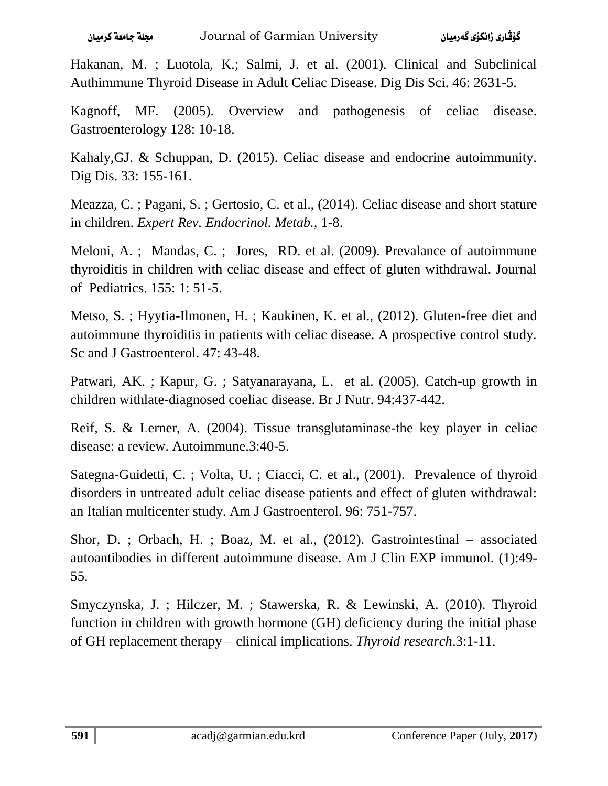Hakanan, M. ; Luotola, K.; Salmi, J. et al. (2001). Clinical and Subclinical Authimmune Thyroid Disease in Adult Celiac Disease. Dig Dis Sci. 46: 2631-5.

Kagnoff, MF. (2005). Overview and pathogenesis of celiac disease. Gastroenterology 128: 10-18.

Kahaly,GJ. & Schuppan, D. (2015). Celiac disease and endocrine autoimmunity. Dig Dis. 33: 155-161.

Meazza, C. ; Pagani, S. ; Gertosio, C. et al., (2014). Celiac disease and short stature in children. *Expert Rev. Endocrinol. Metab.,* 1-8.

Meloni, A. ; Mandas, C. ; Jores, RD. et al. (2009). Prevalance of autoimmune thyroiditis in children with celiac disease and effect of gluten withdrawal. Journal of Pediatrics. 155: 1: 51-5.

Metso, S. ; Hyytia-Ilmonen, H. ; Kaukinen, K. et al., (2012). Gluten-free diet and autoimmune thyroiditis in patients with celiac disease. A prospective control study. Sc and J Gastroenterol. 47: 43-48.

Patwari, AK. ; Kapur, G. ; Satyanarayana, L. et al. (2005). Catch-up growth in children withlate-diagnosed coeliac disease. Br J Nutr. 94:437-442.

Reif, S. & Lerner, A. (2004). Tissue transglutaminase-the key player in celiac disease: a review. Autoimmune.3:40-5.

Sategna-Guidetti, C. ; Volta, U. ; Ciacci, C. et al., (2001). Prevalence of thyroid disorders in untreated adult celiac disease patients and effect of gluten withdrawal: an Italian multicenter study. Am J Gastroenterol. 96: 751-757.

Shor, D. ; Orbach, H. ; Boaz, M. et al., (2012). Gastrointestinal – associated autoantibodies in different autoimmune disease. Am J Clin EXP immunol. (1):49- 55.

Smyczynska, J. ; Hilczer, M. ; Stawerska, R. & Lewinski, A. (2010). Thyroid function in children with growth hormone (GH) deficiency during the initial phase of GH replacement therapy – clinical implications. *Thyroid research*.3:1-11.